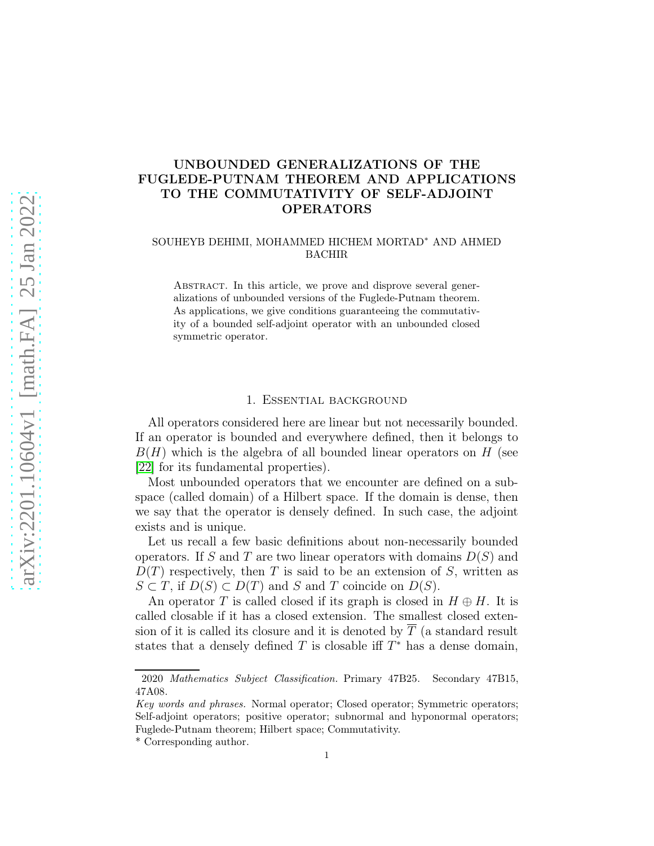# UNBOUNDED GENERALIZATIONS OF THE FUGLEDE-PUTNAM THEOREM AND APPLICATIONS TO THE COMMUTATIVITY OF SELF-ADJOINT OPERATORS

#### SOUHEYB DEHIMI, MOHAMMED HICHEM MORTAD<sup>∗</sup> AND AHMED BACHIR

ABSTRACT. In this article, we prove and disprove several generalizations of unbounded versions of the Fuglede-Putnam theorem. As applications, we give conditions guaranteeing the commutativity of a bounded self-adjoint operator with an unbounded closed symmetric operator.

#### 1. Essential background

All operators considered here are linear but not necessarily bounded. If an operator is bounded and everywhere defined, then it belongs to  $B(H)$  which is the algebra of all bounded linear operators on H (see [\[22\]](#page-15-0) for its fundamental properties).

Most unbounded operators that we encounter are defined on a subspace (called domain) of a Hilbert space. If the domain is dense, then we say that the operator is densely defined. In such case, the adjoint exists and is unique.

Let us recall a few basic definitions about non-necessarily bounded operators. If S and T are two linear operators with domains  $D(S)$  and  $D(T)$  respectively, then T is said to be an extension of S, written as  $S \subset T$ , if  $D(S) \subset D(T)$  and S and T coincide on  $D(S)$ .

An operator T is called closed if its graph is closed in  $H \oplus H$ . It is called closable if it has a closed extension. The smallest closed extension of it is called its closure and it is denoted by  $\overline{T}$  (a standard result states that a densely defined T is closable iff  $T^*$  has a dense domain,

<sup>2020</sup> Mathematics Subject Classification. Primary 47B25. Secondary 47B15, 47A08.

Key words and phrases. Normal operator; Closed operator; Symmetric operators; Self-adjoint operators; positive operator; subnormal and hyponormal operators; Fuglede-Putnam theorem; Hilbert space; Commutativity.

<sup>\*</sup> Corresponding author.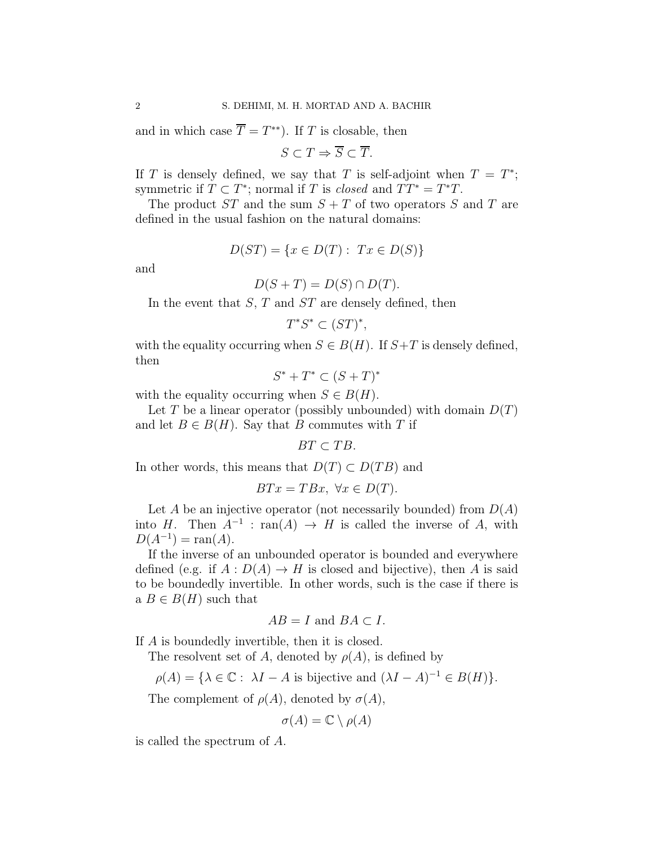and in which case  $\overline{T} = T^{**}$ ). If T is closable, then

$$
S \subset T \Rightarrow \overline{S} \subset \overline{T}.
$$

If T is densely defined, we say that T is self-adjoint when  $T = T^*$ ; symmetric if  $T \subset T^*$ ; normal if T is *closed* and  $TT^* = T^*T$ .

The product  $ST$  and the sum  $S + T$  of two operators S and T are defined in the usual fashion on the natural domains:

$$
D(ST) = \{x \in D(T) : Tx \in D(S)\}
$$

and

$$
D(S+T) = D(S) \cap D(T).
$$

In the event that  $S, T$  and  $ST$  are densely defined, then

$$
T^*S^* \subset (ST)^*,
$$

with the equality occurring when  $S \in B(H)$ . If  $S+T$  is densely defined, then

 $S^* + T^* \subset (S + T)^*$ 

with the equality occurring when  $S \in B(H)$ .

Let T be a linear operator (possibly unbounded) with domain  $D(T)$ and let  $B \in B(H)$ . Say that B commutes with T if

$$
BT\subset TB.
$$

In other words, this means that  $D(T) \subset D(TB)$  and

$$
BTx = TBx, \ \forall x \in D(T).
$$

Let A be an injective operator (not necessarily bounded) from  $D(A)$ into H. Then  $A^{-1}$ : ran(A)  $\rightarrow$  H is called the inverse of A, with  $D(A^{-1}) = \text{ran}(A).$ 

If the inverse of an unbounded operator is bounded and everywhere defined (e.g. if  $A: D(A) \to H$  is closed and bijective), then A is said to be boundedly invertible. In other words, such is the case if there is a  $B \in B(H)$  such that

$$
AB = I \text{ and } BA \subset I.
$$

If A is boundedly invertible, then it is closed.

The resolvent set of A, denoted by  $\rho(A)$ , is defined by

$$
\rho(A) = \{ \lambda \in \mathbb{C} : \ \lambda I - A \text{ is bijective and } (\lambda I - A)^{-1} \in B(H) \}.
$$

The complement of  $\rho(A)$ , denoted by  $\sigma(A)$ ,

$$
\sigma(A) = \mathbb{C} \setminus \rho(A)
$$

is called the spectrum of A.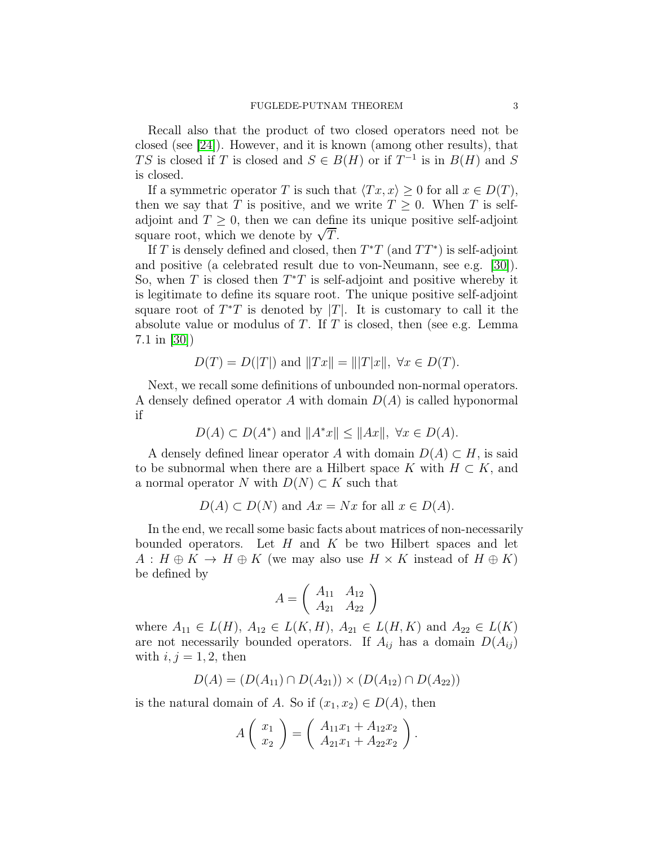Recall also that the product of two closed operators need not be closed (see [\[24\]](#page-15-1)). However, and it is known (among other results), that TS is closed if T is closed and  $S \in B(H)$  or if  $T^{-1}$  is in  $B(H)$  and S is closed.

If a symmetric operator T is such that  $\langle Tx, x \rangle \geq 0$  for all  $x \in D(T)$ , then we say that T is positive, and we write  $T \geq 0$ . When T is selfadjoint and  $T \geq 0$ , then we can define its unique positive self-adjoint square root, which we denote by  $\sqrt{T}$ .

If T is densely defined and closed, then  $T^*T$  (and  $TT^*$ ) is self-adjoint and positive (a celebrated result due to von-Neumann, see e.g. [\[30\]](#page-16-0)). So, when T is closed then  $T^*T$  is self-adjoint and positive whereby it is legitimate to define its square root. The unique positive self-adjoint square root of  $T^*T$  is denoted by  $|T|$ . It is customary to call it the absolute value or modulus of  $T$ . If  $T$  is closed, then (see e.g. Lemma 7.1 in [\[30\]](#page-16-0))

$$
D(T) = D(|T|)
$$
 and  $||Tx|| = |||T|x||$ ,  $\forall x \in D(T)$ .

Next, we recall some definitions of unbounded non-normal operators. A densely defined operator A with domain  $D(A)$  is called hyponormal if

$$
D(A) \subset D(A^*) \text{ and } ||A^*x|| \le ||Ax||, \ \forall x \in D(A).
$$

A densely defined linear operator A with domain  $D(A) \subset H$ , is said to be subnormal when there are a Hilbert space K with  $H \subset K$ , and a normal operator N with  $D(N) \subset K$  such that

$$
D(A) \subset D(N)
$$
 and  $Ax = Nx$  for all  $x \in D(A)$ .

In the end, we recall some basic facts about matrices of non-necessarily bounded operators. Let  $H$  and  $K$  be two Hilbert spaces and let  $A: H \oplus K \to H \oplus K$  (we may also use  $H \times K$  instead of  $H \oplus K$ ) be defined by

$$
A = \left(\begin{array}{cc} A_{11} & A_{12} \\ A_{21} & A_{22} \end{array}\right)
$$

where  $A_{11} \in L(H)$ ,  $A_{12} \in L(K, H)$ ,  $A_{21} \in L(H, K)$  and  $A_{22} \in L(K)$ are not necessarily bounded operators. If  $A_{ij}$  has a domain  $D(A_{ij})$ with  $i, j = 1, 2$ , then

$$
D(A) = (D(A_{11}) \cap D(A_{21})) \times (D(A_{12}) \cap D(A_{22}))
$$

is the natural domain of A. So if  $(x_1, x_2) \in D(A)$ , then

$$
A\left(\begin{array}{c} x_1 \\ x_2 \end{array}\right) = \left(\begin{array}{c} A_{11}x_1 + A_{12}x_2 \\ A_{21}x_1 + A_{22}x_2 \end{array}\right).
$$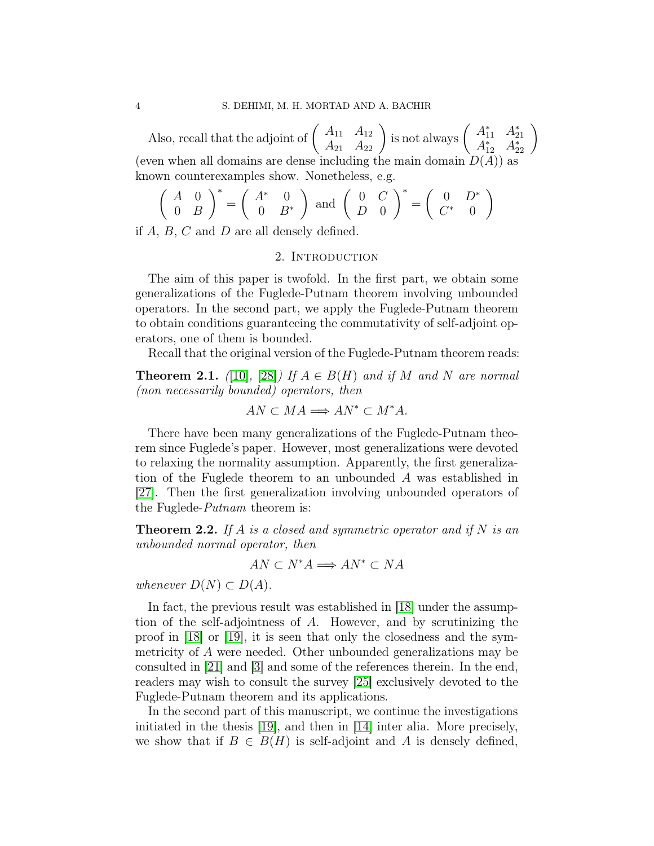Also, recall that the adjoint of  $\begin{pmatrix} A_{11} & A_{12} \\ A_{21} & A_{22} \end{pmatrix}$  is not always  $\begin{pmatrix} A_{11}^* & A_{21}^* \\ A_{12}^* & A_{22}^* \end{pmatrix}$ (even when all domains are dense including the main domain  $D(A)$ ) as known counterexamples show. Nonetheless, e.g.

$$
\left(\begin{array}{cc} A & 0 \\ 0 & B \end{array}\right)^* = \left(\begin{array}{cc} A^* & 0 \\ 0 & B^* \end{array}\right) \text{ and } \left(\begin{array}{cc} 0 & C \\ D & 0 \end{array}\right)^* = \left(\begin{array}{cc} 0 & D^* \\ C^* & 0 \end{array}\right)
$$

if A, B, C and D are all densely defined.

#### 2. INTRODUCTION

The aim of this paper is twofold. In the first part, we obtain some generalizations of the Fuglede-Putnam theorem involving unbounded operators. In the second part, we apply the Fuglede-Putnam theorem to obtain conditions guaranteeing the commutativity of self-adjoint operators, one of them is bounded.

Recall that the original version of the Fuglede-Putnam theorem reads:

**Theorem 2.1.** *(*[\[10\]](#page-15-2)*,* [\[28\]](#page-16-1)*)* If  $A \in B(H)$  and if M and N are normal *(non necessarily bounded) operators, then*

$$
AN \subset MA \Longrightarrow AN^* \subset M^*A.
$$

There have been many generalizations of the Fuglede-Putnam theorem since Fuglede's paper. However, most generalizations were devoted to relaxing the normality assumption. Apparently, the first generalization of the Fuglede theorem to an unbounded A was established in [\[27\]](#page-16-2). Then the first generalization involving unbounded operators of the Fuglede-*Putnam* theorem is:

<span id="page-3-0"></span>Theorem 2.2. *If* A *is a closed and symmetric operator and if* N *is an unbounded normal operator, then*

$$
AN \subset N^*A \Longrightarrow AN^* \subset NA
$$

*whenever*  $D(N) \subset D(A)$ *.* 

In fact, the previous result was established in [\[18\]](#page-15-3) under the assumption of the self-adjointness of A. However, and by scrutinizing the proof in [\[18\]](#page-15-3) or [\[19\]](#page-15-4), it is seen that only the closedness and the symmetricity of A were needed. Other unbounded generalizations may be consulted in [\[21\]](#page-15-5) and [\[3\]](#page-14-0) and some of the references therein. In the end, readers may wish to consult the survey [25] exclusively devoted to the Fuglede-Putnam theorem and its applications.

In the second part of this manuscript, we continue the investigations initiated in the thesis [\[19\]](#page-15-4), and then in [\[14\]](#page-15-6) inter alia. More precisely, we show that if  $B \in B(H)$  is self-adjoint and A is densely defined,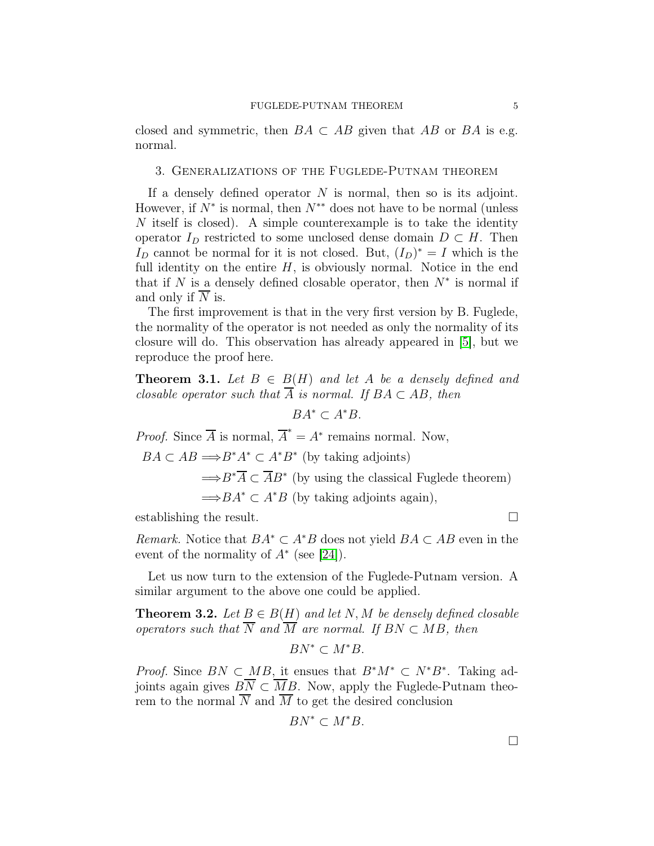closed and symmetric, then  $BA \subset AB$  given that AB or BA is e.g. normal.

### 3. Generalizations of the Fuglede-Putnam theorem

If a densely defined operator  $N$  is normal, then so is its adjoint. However, if  $N^*$  is normal, then  $N^{**}$  does not have to be normal (unless  $N$  itself is closed). A simple counterexample is to take the identity operator  $I_D$  restricted to some unclosed dense domain  $D \subset H$ . Then I<sub>D</sub> cannot be normal for it is not closed. But,  $(I_D)^* = I$  which is the full identity on the entire  $H$ , is obviously normal. Notice in the end that if N is a densely defined closable operator, then  $N^*$  is normal if and only if  $\overline{N}$  is.

The first improvement is that in the very first version by B. Fuglede, the normality of the operator is not needed as only the normality of its closure will do. This observation has already appeared in [\[5\]](#page-15-7), but we reproduce the proof here.

<span id="page-4-0"></span>**Theorem 3.1.** Let  $B \in B(H)$  and let A be a densely defined and *closable operator such that*  $\overline{A}$  *is normal.* If  $BA \subset AB$ *, then* 

$$
BA^* \subset A^*B.
$$

*Proof.* Since  $\overline{A}$  is normal,  $\overline{A}^* = A^*$  remains normal. Now,

 $BA \subset AB \Longrightarrow B^*A^* \subset A^*B^*$  (by taking adjoints)  $\Rightarrow B^*\overline{A} \subset \overline{A}B^*$  (by using the classical Fuglede theorem)  $\Longrightarrow BA^* \subset A^*B$  (by taking adjoints again),

establishing the result.

*Remark.* Notice that  $BA^* \subset A^*B$  does not yield  $BA \subset AB$  even in the event of the normality of  $A^*$  (see [\[24\]](#page-15-1)).

Let us now turn to the extension of the Fuglede-Putnam version. A similar argument to the above one could be applied.

**Theorem 3.2.** *Let*  $B \in B(H)$  *and let* N, M *be densely defined closable operators such that*  $\overline{N}$  *and*  $\overline{M}$  *are normal. If*  $BN \subset MB$ *, then* 

$$
BN^*\subset M^*B.
$$

*Proof.* Since  $BN \subset MB$ , it ensues that  $B^*M^* \subset N^*B^*$ . Taking adjoints again gives  $BN \subset MB$ . Now, apply the Fuglede-Putnam theorem to the normal  $\overline{N}$  and  $\overline{M}$  to get the desired conclusion

$$
BN^* \subset M^*B.
$$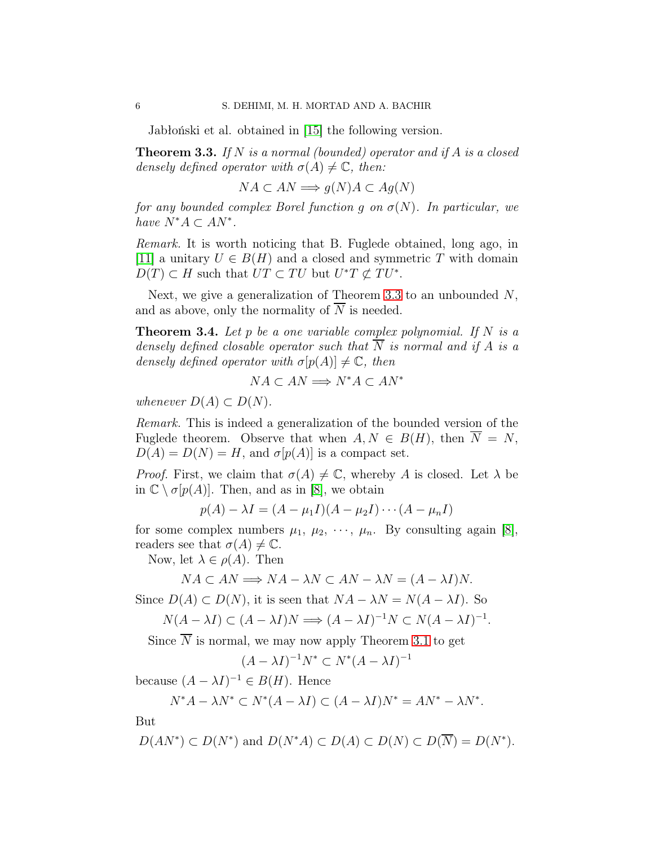Jabłoński et al. obtained in [15] the following version.

<span id="page-5-0"></span>Theorem 3.3. *If* N *is a normal (bounded) operator and if* A *is a closed densely defined operator with*  $\sigma(A) \neq \mathbb{C}$ *, then:* 

 $NA \subset AN \Longrightarrow q(N)A \subset Aq(N)$ 

*for any bounded complex Borel function* q *on*  $\sigma(N)$ *. In particular, we have*  $N^*A \subset AN^*$ .

*Remark.* It is worth noticing that B. Fuglede obtained, long ago, in [11] a unitary  $U \in B(H)$  and a closed and symmetric T with domain  $D(T) \subset H$  such that  $UT \subset TU$  but  $U^*T \not\subset TU^*$ .

Next, we give a generalization of Theorem [3.3](#page-5-0) to an unbounded  $N$ , and as above, only the normality of  $\overline{N}$  is needed.

<span id="page-5-1"></span>Theorem 3.4. *Let* p *be a one variable complex polynomial. If* N *is a densely defined closable operator such that*  $\overline{N}$  *is normal and if* A *is a densely defined operator with*  $\sigma[p(A)] \neq \mathbb{C}$ *, then* 

$$
NA \subset AN \Longrightarrow N^*A \subset AN^*
$$

*whenever*  $D(A) \subset D(N)$ *.* 

*Remark.* This is indeed a generalization of the bounded version of the Fuglede theorem. Observe that when  $A, N \in B(H)$ , then  $\overline{N} = N$ ,  $D(A) = D(N) = H$ , and  $\sigma[p(A)]$  is a compact set.

*Proof.* First, we claim that  $\sigma(A) \neq \mathbb{C}$ , whereby A is closed. Let  $\lambda$  be in  $\mathbb{C} \setminus \sigma[p(A)]$ . Then, and as in [\[8\]](#page-15-8), we obtain

$$
p(A) - \lambda I = (A - \mu_1 I)(A - \mu_2 I) \cdots (A - \mu_n I)
$$

for some complex numbers  $\mu_1, \mu_2, \cdots, \mu_n$ . By consulting again [\[8\]](#page-15-8), readers see that  $\sigma(A) \neq \mathbb{C}$ .

Now, let  $\lambda \in \rho(A)$ . Then

$$
NA \subset AN \Longrightarrow NA - \lambda N \subset AN - \lambda N = (A - \lambda I)N.
$$

Since  $D(A) \subset D(N)$ , it is seen that  $NA - \lambda N = N(A - \lambda I)$ . So

$$
N(A - \lambda I) \subset (A - \lambda I)N \Longrightarrow (A - \lambda I)^{-1}N \subset N(A - \lambda I)^{-1}.
$$

Since  $\overline{N}$  is normal, we may now apply Theorem [3.1](#page-4-0) to get

 $(A - \lambda I)^{-1} N^* \subset N^* (A - \lambda I)^{-1}$ 

because  $(A - \lambda I)^{-1} \in B(H)$ . Hence

$$
N^*A - \lambda N^* \subset N^*(A - \lambda I) \subset (A - \lambda I)N^* = AN^* - \lambda N^*.
$$

But

$$
D(AN^*) \subset D(N^*)
$$
 and  $D(N^*A) \subset D(A) \subset D(N) \subset D(\overline{N}) = D(N^*).$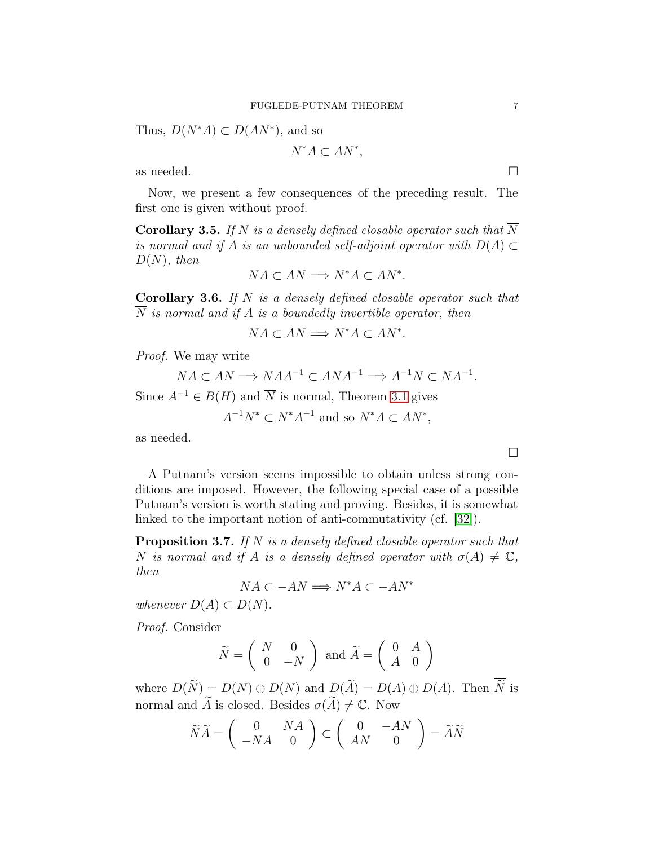Thus,  $D(N^*A) \subset D(AN^*)$ , and so

$$
N^*A\subset AN^*,
$$

as needed.  $\Box$ 

Now, we present a few consequences of the preceding result. The first one is given without proof.

**Corollary 3.5.** If N is a densely defined closable operator such that  $\overline{N}$ *is normal and if* A *is an unbounded self-adjoint operator with*  $D(A) \subset$ D(N)*, then*

$$
NA \subset AN \Longrightarrow N^*A \subset AN^*.
$$

Corollary 3.6. *If* N *is a densely defined closable operator such that* N *is normal and if* A *is a boundedly invertible operator, then*

$$
NA \subset AN \Longrightarrow N^*A \subset AN^*.
$$

*Proof.* We may write

$$
NA \subset AN \Longrightarrow NAA^{-1} \subset ANA^{-1} \Longrightarrow A^{-1}N \subset NA^{-1}.
$$

Since  $A^{-1} \in B(H)$  and  $\overline{N}$  is normal, Theorem [3.1](#page-4-0) gives

$$
A^{-1}N^* \subset N^*A^{-1} \text{ and so } N^*A \subset AN^*,
$$

as needed.

A Putnam's version seems impossible to obtain unless strong conditions are imposed. However, the following special case of a possible Putnam's version is worth stating and proving. Besides, it is somewhat linked to the important notion of anti-commutativity (cf. [32]).

Proposition 3.7. *If* N *is a densely defined closable operator such that*  $\overline{N}$  *is normal and if* A *is a densely defined operator with*  $\sigma(A) \neq \mathbb{C}$ , *then*

$$
NA \subset -AN \Longrightarrow N^*A \subset -AN^*
$$

*whenever*  $D(A) \subset D(N)$ *.* 

*Proof.* Consider

$$
\widetilde{N} = \left( \begin{array}{cc} N & 0 \\ 0 & -N \end{array} \right) \text{ and } \widetilde{A} = \left( \begin{array}{cc} 0 & A \\ A & 0 \end{array} \right)
$$

where  $D(\widetilde{N}) = D(N) \oplus D(N)$  and  $D(\widetilde{A}) = D(A) \oplus D(A)$ . Then  $\overline{\widetilde{N}}$  is normal and  $\widetilde{A}$  is closed. Besides  $\sigma(\widetilde{A})\neq \mathbb{C}$ . Now

$$
\widetilde{N}\widetilde{A} = \begin{pmatrix} 0 & NA \\ -NA & 0 \end{pmatrix} \subset \begin{pmatrix} 0 & -AN \\ AN & 0 \end{pmatrix} = \widetilde{A}\widetilde{N}
$$

 $\Box$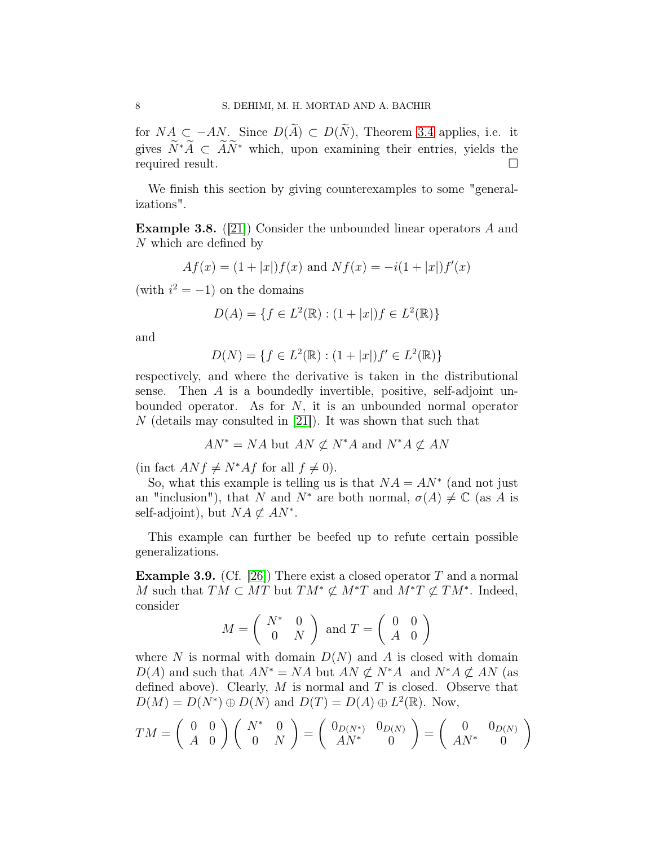for  $NA \subset -AN$ . Since  $D(\widetilde{A}) \subset D(\widetilde{N})$ , Theorem [3.4](#page-5-1) applies, i.e. it gives  $\widetilde{N}^*\widetilde{A} \subset \widetilde{A}\widetilde{N}^*$  which, upon examining their entries, yields the required result. required result.

We finish this section by giving counterexamples to some "generalizations".

**Example 3.8.** ([\[21\]](#page-15-5)) Consider the unbounded linear operators  $A$  and N which are defined by

$$
Af(x) = (1+|x|)f(x)
$$
 and  $Nf(x) = -i(1+|x|)f'(x)$ 

(with  $i^2 = -1$ ) on the domains

$$
D(A) = \{ f \in L^2(\mathbb{R}) : (1 + |x|)f \in L^2(\mathbb{R}) \}
$$

and

$$
D(N) = \{ f \in L^2(\mathbb{R}) : (1 + |x|)f' \in L^2(\mathbb{R}) \}
$$

respectively, and where the derivative is taken in the distributional sense. Then A is a boundedly invertible, positive, self-adjoint unbounded operator. As for  $N$ , it is an unbounded normal operator N (details may consulted in  $|21|$ ). It was shown that such that

$$
AN^* = NA \text{ but } AN \not\subset N^*A \text{ and } N^*A \not\subset AN
$$

(in fact  $ANf \neq N^*Af$  for all  $f \neq 0$ ).

So, what this example is telling us is that  $NA = AN^*$  (and not just an "inclusion"), that N and  $N^*$  are both normal,  $\sigma(A) \neq \mathbb{C}$  (as A is self-adjoint), but  $NA \not\subset AN^*$ .

This example can further be beefed up to refute certain possible generalizations.

**Example 3.9.** (Cf. [26]) There exist a closed operator  $T$  and a normal M such that  $T\dot{M} \subset \dot{M}T$  but  $TM^* \not\subset M^*T$  and  $M^*T \not\subset TM^*$ . Indeed, consider

$$
M = \left(\begin{array}{cc} N^* & 0 \\ 0 & N \end{array}\right) \text{ and } T = \left(\begin{array}{cc} 0 & 0 \\ A & 0 \end{array}\right)
$$

where N is normal with domain  $D(N)$  and A is closed with domain  $D(A)$  and such that  $AN^* = NA$  but  $AN \not\subset N^*A$  and  $N^*A \not\subset AN$  (as defined above). Clearly,  $M$  is normal and  $T$  is closed. Observe that  $D(M) = D(N^*) \oplus D(N)$  and  $D(T) = D(A) \oplus L^2(\mathbb{R})$ . Now,

$$
TM = \begin{pmatrix} 0 & 0 \\ A & 0 \end{pmatrix} \begin{pmatrix} N^* & 0 \\ 0 & N \end{pmatrix} = \begin{pmatrix} 0_{D(N^*)} & 0_{D(N)} \\ A N^* & 0 \end{pmatrix} = \begin{pmatrix} 0 & 0_{D(N)} \\ A N^* & 0 \end{pmatrix}
$$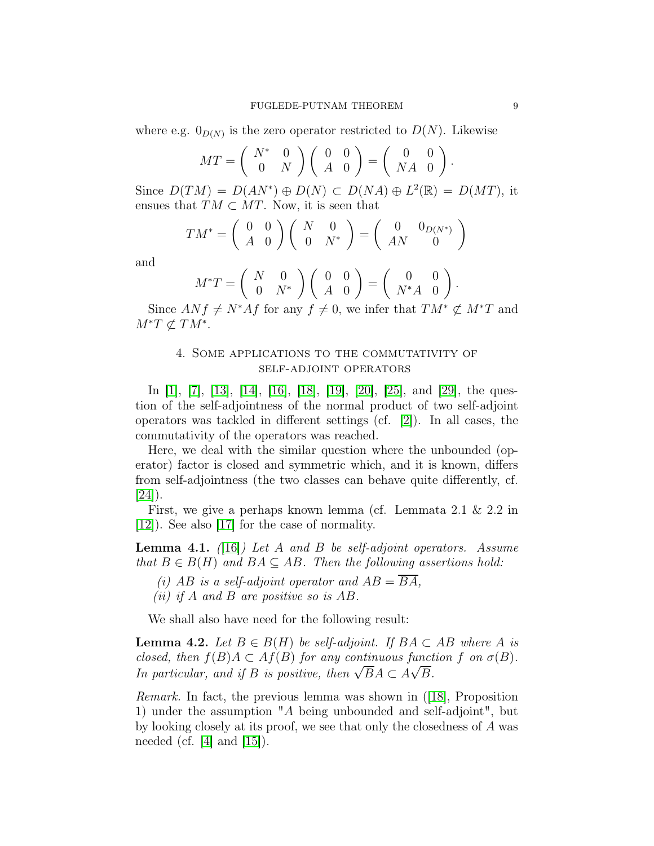where e.g.  $0_{D(N)}$  is the zero operator restricted to  $D(N)$ . Likewise

$$
MT = \left(\begin{array}{cc} N^* & 0 \\ 0 & N \end{array}\right) \left(\begin{array}{cc} 0 & 0 \\ A & 0 \end{array}\right) = \left(\begin{array}{cc} 0 & 0 \\ NA & 0 \end{array}\right).
$$

Since  $D(TM) = D(AN^*) \oplus D(N) \subset D(NA) \oplus L^2(\mathbb{R}) = D(MT)$ , it ensues that  $TM \subset MT$ . Now, it is seen that

$$
TM^* = \begin{pmatrix} 0 & 0 \\ A & 0 \end{pmatrix} \begin{pmatrix} N & 0 \\ 0 & N^* \end{pmatrix} = \begin{pmatrix} 0 & 0_{D(N^*)} \\ AN & 0 \end{pmatrix}
$$

and

$$
M^*T = \begin{pmatrix} N & 0 \\ 0 & N^* \end{pmatrix} \begin{pmatrix} 0 & 0 \\ A & 0 \end{pmatrix} = \begin{pmatrix} 0 & 0 \\ N^*A & 0 \end{pmatrix}.
$$

Since  $ANf \neq N^*Af$  for any  $f \neq 0$ , we infer that  $TM^* \not\subset M^*T$  and  $M^*T \not\subset TM^*$ .

## 4. Some applications to the commutativity of self-adjoint operators

In [\[1\]](#page-14-1), [\[7\]](#page-15-9), [\[13\]](#page-15-10), [\[14\]](#page-15-6), [\[16\]](#page-15-11), [\[18\]](#page-15-3), [\[19\]](#page-15-4), [\[20\]](#page-15-12), [25], and [\[29\]](#page-16-3), the question of the self-adjointness of the normal product of two self-adjoint operators was tackled in different settings (cf. [\[2\]](#page-14-2)). In all cases, the commutativity of the operators was reached.

Here, we deal with the similar question where the unbounded (operator) factor is closed and symmetric which, and it is known, differs from self-adjointness (the two classes can behave quite differently, cf.  $|24|$ ).

First, we give a perhaps known lemma (cf. Lemmata 2.1 & 2.2 in [\[12\]](#page-15-13)). See also [\[17\]](#page-15-14) for the case of normality.

<span id="page-8-1"></span>Lemma 4.1. *(*[\[16\]](#page-15-11)*) Let* A *and* B *be self-adjoint operators. Assume that*  $B \in B(H)$  *and*  $BA \subseteq AB$ *. Then the following assertions hold:* 

- *(i)* AB is a self-adjoint operator and  $AB = \overline{BA}$ ,
- *(ii) if* A *and* B *are positive so is* AB*.*

We shall also have need for the following result:

<span id="page-8-0"></span>**Lemma 4.2.** *Let*  $B \in B(H)$  *be self-adjoint. If*  $BA ⊂ AB$  *where* A *is closed, then*  $f(B)A \subset Af(B)$  *for any continuous function* f *on*  $\sigma(B)$ *. In particular, and if B is positive, then*  $\sqrt{BA} \subset A\sqrt{B}$ *.* 

*Remark.* In fact, the previous lemma was shown in ([\[18\]](#page-15-3), Proposition 1) under the assumption "A being unbounded and self-adjoint", but by looking closely at its proof, we see that only the closedness of A was needed (cf.  $|4|$  and  $|15|$ ).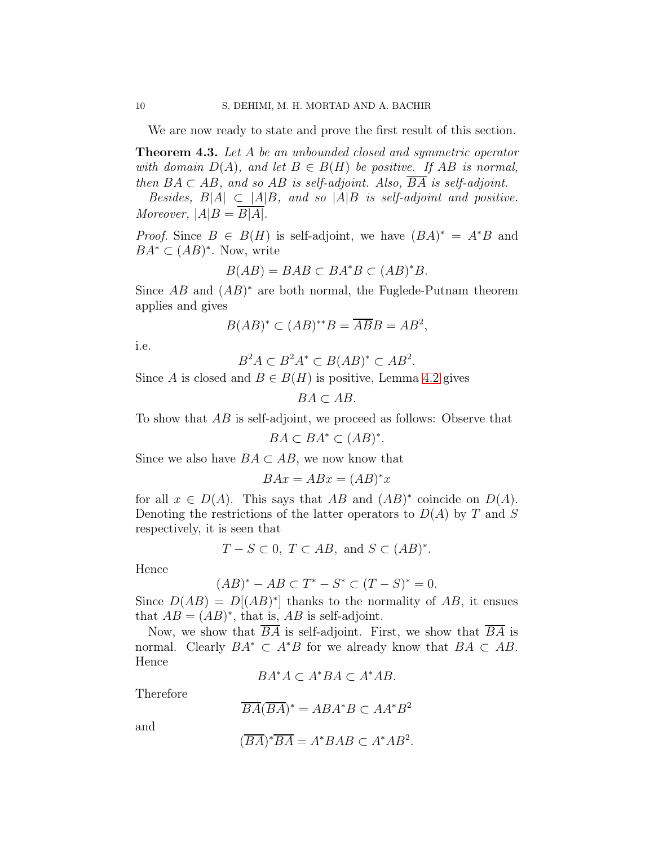We are now ready to state and prove the first result of this section.

<span id="page-9-0"></span>Theorem 4.3. *Let* A *be an unbounded closed and symmetric operator with domain*  $D(A)$ *, and let*  $B \in B(H)$  *be positive. If*  $AB$  *is normal, then*  $BA \subset AB$ *, and so AB is self-adjoint. Also,*  $\overline{BA}$  *is self-adjoint.* 

*Besides,*  $B|A| \subset |A|B$ *, and so*  $|A|B$  *is self-adjoint and positive. Moreover,*  $|A|B = \overline{B|A|}$ .

*Proof.* Since  $B \in B(H)$  is self-adjoint, we have  $(BA)^* = A^*B$  and  $BA^* \subset (AB)^*$ . Now, write

$$
B(AB) = BAB \subset BA^*B \subset (AB)^*B.
$$

Since  $AB$  and  $(AB)^*$  are both normal, the Fuglede-Putnam theorem applies and gives

$$
B(AB)^* \subset (AB)^{**}B = \overline{AB}B = AB^2,
$$

i.e.

$$
B^2A \subset B^2A^* \subset B(AB)^* \subset AB^2.
$$

Since A is closed and  $B \in B(H)$  is positive, Lemma [4.2](#page-8-0) gives

 $BA \subset AB$ .

To show that AB is self-adjoint, we proceed as follows: Observe that

$$
BA \subset BA^* \subset (AB)^*.
$$

Since we also have  $BA \subset AB$ , we now know that

$$
BAx = ABx = (AB)^*x
$$

for all  $x \in D(A)$ . This says that AB and  $(AB)^*$  coincide on  $D(A)$ . Denoting the restrictions of the latter operators to  $D(A)$  by T and S respectively, it is seen that

$$
T-S\subset 0,\ T\subset AB,\ \text{and}\ S\subset (AB)^*.
$$

Hence

$$
(AB)^* - AB \subset T^* - S^* \subset (T - S)^* = 0.
$$

Since  $D(AB) = D[(AB)^*]$  thanks to the normality of AB, it ensues that  $AB = (AB)^*$ , that is,  $AB$  is self-adjoint.

Now, we show that BA is self-adjoint. First, we show that BA is normal. Clearly  $BA^* \subset A^*B$  for we already know that  $BA \subset AB$ . Hence

 $BA^*A \subset A^*BA \subset A^*AB.$ 

Therefore

$$
\overline{BA}(\overline{BA})^* = ABA^*B \subset AA^*B^2
$$

and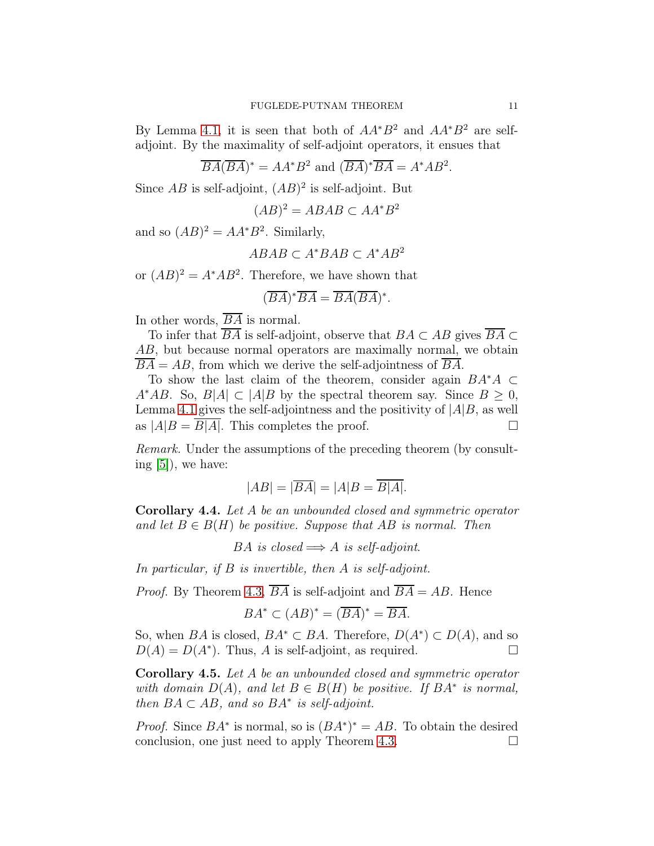By Lemma [4.1,](#page-8-1) it is seen that both of  $AA^*B^2$  and  $AA^*B^2$  are selfadjoint. By the maximality of self-adjoint operators, it ensues that

$$
\overline{BA}(\overline{BA})^* = AA^*B^2 \text{ and } (\overline{BA})^*\overline{BA} = A^*AB^2.
$$

Since  $AB$  is self-adjoint,  $(AB)^2$  is self-adjoint. But

$$
(AB)^2 = ABAB \subset AA^*B^2
$$

and so  $(AB)^2 = AA^*B^2$ . Similarly,

$$
ABAB \subset A^*BAB \subset A^*AB^2
$$

or  $(AB)^2 = A^*AB^2$ . Therefore, we have shown that

$$
(\overline{BA})^* \overline{BA} = \overline{BA}(\overline{BA})^*.
$$

In other words,  $\overline{BA}$  is normal.

To infer that  $\overline{BA}$  is self-adjoint, observe that  $BA \subset AB$  gives  $\overline{BA} \subset$ AB, but because normal operators are maximally normal, we obtain  $BA = AB$ , from which we derive the self-adjointness of BA.

To show the last claim of the theorem, consider again  $BA^*A \subset$ A<sup>∗</sup>AB. So,  $B|A| \subset |A|B$  by the spectral theorem say. Since  $B \geq 0$ , Lemma [4.1](#page-8-1) gives the self-adjointness and the positivity of  $|A|B$ , as well as  $|A|B = \overline{B|A|}$ . This completes the proof.

*Remark.* Under the assumptions of the preceding theorem (by consulting [\[5\]](#page-15-7)), we have:

$$
|AB| = |\overline{BA}| = |A|B = \overline{B|A|}.
$$

<span id="page-10-0"></span>Corollary 4.4. *Let* A *be an unbounded closed and symmetric operator and let*  $B \in B(H)$  *be positive. Suppose that*  $AB$  *is normal. Then* 

BA *is closed*  $\implies$  A *is self-adjoint.* 

*In particular, if* B *is invertible, then* A *is self-adjoint.*

*Proof.* By Theorem [4.3,](#page-9-0)  $\overline{BA}$  is self-adjoint and  $\overline{BA} = AB$ . Hence

$$
BA^* \subset (AB)^* = (\overline{BA})^* = \overline{BA}.
$$

So, when BA is closed,  $BA^* \subset BA$ . Therefore,  $D(A^*) \subset D(A)$ , and so  $D(A) = D(A^*)$ . Thus, A is self-adjoint, as required.

Corollary 4.5. *Let* A *be an unbounded closed and symmetric operator with domain*  $D(A)$ *, and let*  $B \in B(H)$  *be positive. If*  $BA^*$  *is normal, then*  $BA \subset AB$ , and so  $BA^*$  is self-adjoint.

*Proof.* Since  $BA^*$  is normal, so is  $(BA^*)^* = AB$ . To obtain the desired conclusion, one just need to apply Theorem [4.3.](#page-9-0)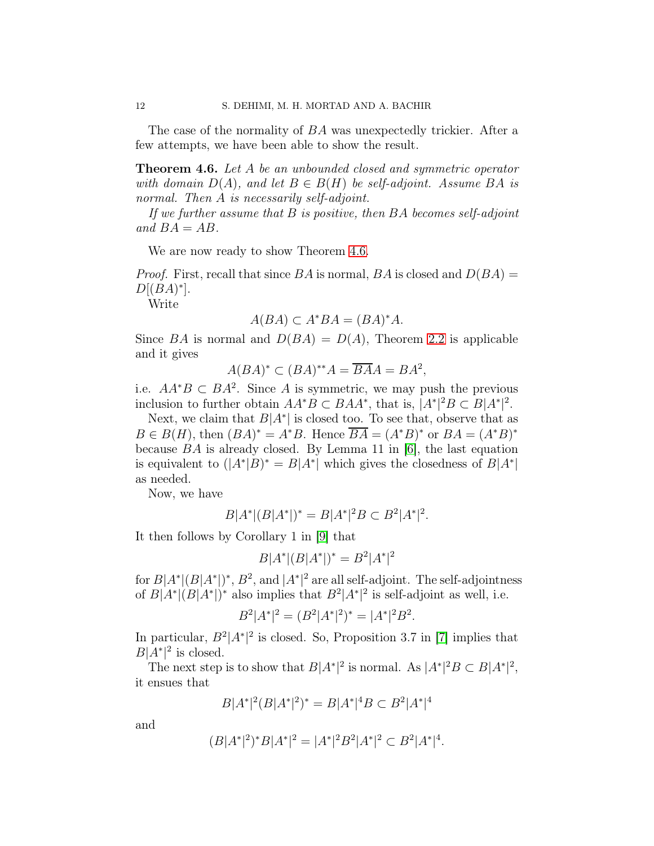The case of the normality of BA was unexpectedly trickier. After a few attempts, we have been able to show the result.

<span id="page-11-0"></span>Theorem 4.6. *Let* A *be an unbounded closed and symmetric operator with domain*  $D(A)$ *, and let*  $B \in B(H)$  *be self-adjoint. Assume*  $BA$  *is normal. Then* A *is necessarily self-adjoint.*

*If we further assume that* B *is positive, then* BA *becomes self-adjoint* and  $BA = AB$ .

We are now ready to show Theorem [4.6.](#page-11-0)

*Proof.* First, recall that since  $BA$  is normal,  $BA$  is closed and  $D(BA) =$  $D[(BA)^*].$ 

Write

$$
A(BA) \subset A^*BA = (BA)^*A.
$$

Since BA is normal and  $D(BA) = D(A)$ , Theorem [2.2](#page-3-0) is applicable and it gives

$$
A(BA)^*\subset (BA)^{**}A=\overline{BA}A=BA^2,
$$

i.e.  $AA^*B \subset BA^2$ . Since A is symmetric, we may push the previous inclusion to further obtain  $AA^*B \subset BAA^*$ , that is,  $[A^*|^2B \subset B|A^*|^2$ .

Next, we claim that  $B|A^*|$  is closed too. To see that, observe that as  $B \in B(H)$ , then  $(BA)^* = A^*B$ . Hence  $\overline{BA} = (A^*B)^*$  or  $BA = (A^*B)^*$ because BA is already closed. By Lemma 11 in [\[6\]](#page-15-15), the last equation is equivalent to  $(|A^*|B)^* = B|A^*|$  which gives the closedness of  $B|A^*|$ as needed.

Now, we have

$$
B|A^*|(B|A^*|)^* = B|A^*|^2B \subset B^2|A^*|^2.
$$

It then follows by Corollary 1 in [\[9\]](#page-15-16) that

$$
B|A^*|(B|A^*|)^* = B^2|A^*|^2
$$

for  $B|A^*|(B|A^*|)^*$ ,  $B^2$ , and  $|A^*|^2$  are all self-adjoint. The self-adjointness of  $B|A^*|(B|A^*|)^*$  also implies that  $B^2|A^*|^2$  is self-adjoint as well, i.e.

$$
B^2|A^*|^2 = (B^2|A^*|^2)^* = |A^*|^2B^2.
$$

In particular,  $B^2|A^*|^2$  is closed. So, Proposition 3.7 in [\[7\]](#page-15-9) implies that  $B|\tilde{A}^*|^2$  is closed.

The next step is to show that  $B|A^*|^2$  is normal. As  $|A^*|^2B \subset B|A^*|^2$ , it ensues that

$$
B|A^*|^2(B|A^*|^2)^* = B|A^*|^4B \subset B^2|A^*|^4
$$

and

$$
(B|A^*|^2)^*B|A^*|^2=|A^*|^2B^2|A^*|^2\subset B^2|A^*|^4.
$$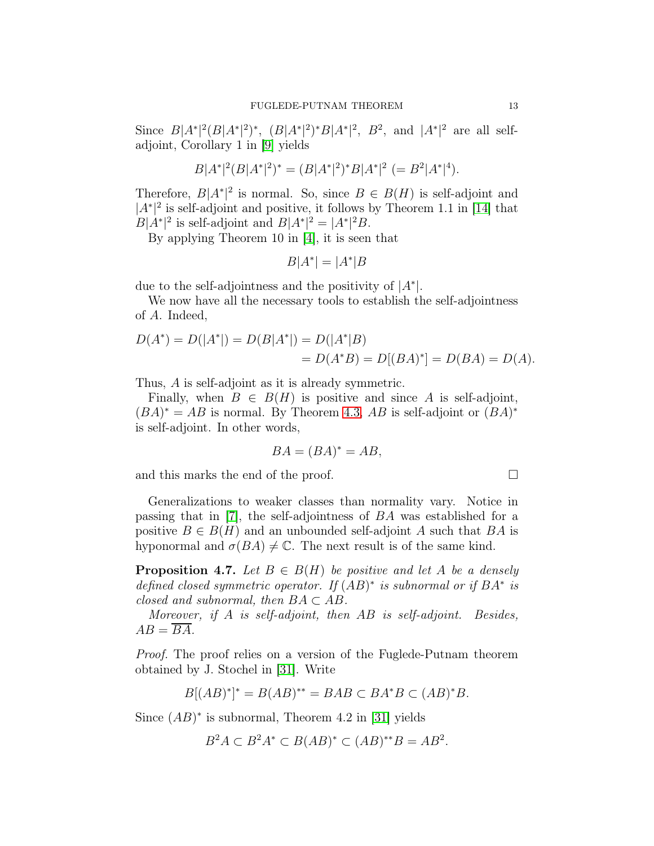Since  $B|A^*|^2(B|A^*|^2)^*, (B|A^*|^2)^*B|A^*|^2, B^2$ , and  $|A^*|^2$  are all selfadjoint, Corollary 1 in [\[9\]](#page-15-16) yields

$$
B|A^*|^2(B|A^*|^2)^* = (B|A^*|^2)^*B|A^*|^2 = B^2|A^*|^4.
$$

Therefore,  $B|A^*|^2$  is normal. So, since  $B \in B(H)$  is self-adjoint and  $|A^*|^2$  is self-adjoint and positive, it follows by Theorem 1.1 in [\[14\]](#page-15-6) that  $B|A^*|^2$  is self-adjoint and  $B|A^*|^2 = |A^*|^2B$ .

By applying Theorem 10 in [4], it is seen that

$$
B|A^*| = |A^*|B
$$

due to the self-adjointness and the positivity of  $|A^*|$ .

We now have all the necessary tools to establish the self-adjointness of A. Indeed,

$$
D(A^*) = D(|A^*|) = D(B|A^*|) = D(|A^*|B) = D(A^*B) = D[(BA)^*] = D(BA) = D(A).
$$

Thus, A is self-adjoint as it is already symmetric.

Finally, when  $B \in B(H)$  is positive and since A is self-adjoint,  $(BA)^* = AB$  is normal. By Theorem [4.3,](#page-9-0) AB is self-adjoint or  $(BA)^*$ is self-adjoint. In other words,

$$
BA = (BA)^* = AB,
$$

and this marks the end of the proof.  $\Box$ 

Generalizations to weaker classes than normality vary. Notice in passing that in [\[7\]](#page-15-9), the self-adjointness of BA was established for a positive  $B \in B(H)$  and an unbounded self-adjoint A such that BA is hyponormal and  $\sigma(BA) \neq \mathbb{C}$ . The next result is of the same kind.

**Proposition 4.7.** Let  $B \in B(H)$  be positive and let A be a densely *defined closed symmetric operator. If* (AB) ∗ *is subnormal or if* BA<sup>∗</sup> *is closed and subnormal, then*  $BA \subset AB$ .

*Moreover, if* A *is self-adjoint, then* AB *is self-adjoint. Besides,*  $AB = \overline{BA}$ .

*Proof.* The proof relies on a version of the Fuglede-Putnam theorem obtained by J. Stochel in [\[31\]](#page-16-4). Write

$$
B[(AB)^*]^* = B(AB)^{**} = BAB \subset BA^*B \subset (AB)^*B.
$$

Since  $(AB)^*$  is subnormal, Theorem 4.2 in [\[31\]](#page-16-4) yields

$$
B^2A \subset B^2A^* \subset B(AB)^* \subset (AB)^{**}B = AB^2.
$$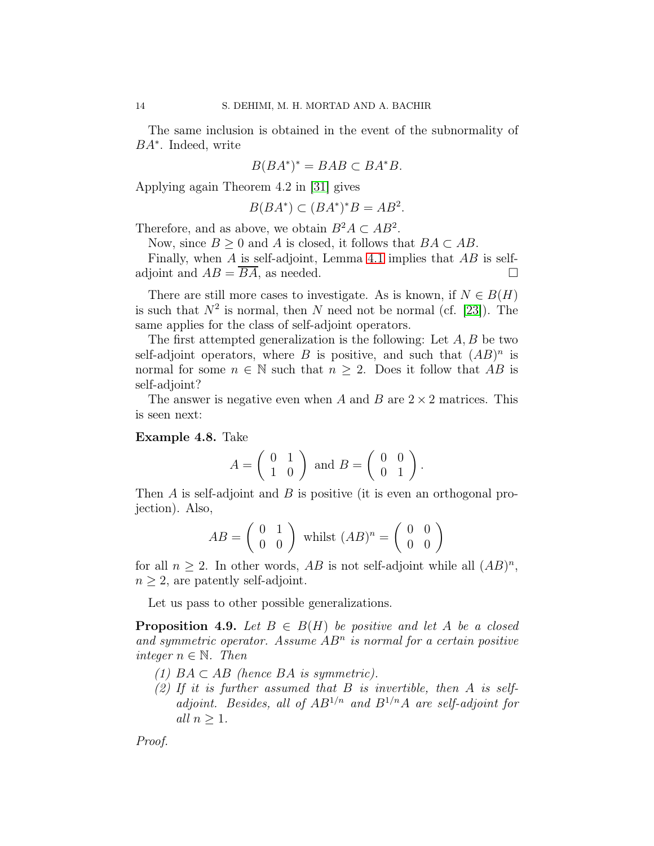The same inclusion is obtained in the event of the subnormality of BA<sup>∗</sup> . Indeed, write

$$
B(BA^*)^* = BAB \subset BA^*B.
$$

Applying again Theorem 4.2 in [\[31\]](#page-16-4) gives

$$
B(BA^*) \subset (BA^*)^*B = AB^2.
$$

Therefore, and as above, we obtain  $B^2A \subset AB^2$ .

Now, since  $B \geq 0$  and A is closed, it follows that  $BA \subset AB$ .

Finally, when  $A$  is self-adjoint, Lemma [4.1](#page-8-1) implies that  $AB$  is selfadjoint and  $AB = BA$ , as needed.

There are still more cases to investigate. As is known, if  $N \in B(H)$ is such that  $N^2$  is normal, then N need not be normal (cf. [\[23\]](#page-15-17)). The same applies for the class of self-adjoint operators.

The first attempted generalization is the following: Let  $A, B$  be two self-adjoint operators, where B is positive, and such that  $(AB)^n$  is normal for some  $n \in \mathbb{N}$  such that  $n \geq 2$ . Does it follow that AB is self-adjoint?

The answer is negative even when A and B are  $2 \times 2$  matrices. This is seen next:

#### Example 4.8. Take

$$
A = \left(\begin{array}{cc} 0 & 1 \\ 1 & 0 \end{array}\right) \text{ and } B = \left(\begin{array}{cc} 0 & 0 \\ 0 & 1 \end{array}\right).
$$

Then A is self-adjoint and B is positive (it is even an orthogonal projection). Also,

$$
AB = \left(\begin{array}{cc} 0 & 1 \\ 0 & 0 \end{array}\right) \text{ whilst } (AB)^n = \left(\begin{array}{cc} 0 & 0 \\ 0 & 0 \end{array}\right)
$$

for all  $n \geq 2$ . In other words, AB is not self-adjoint while all  $(AB)^n$ ,  $n \geq 2$ , are patently self-adjoint.

Let us pass to other possible generalizations.

**Proposition 4.9.** *Let*  $B \in B(H)$  *be positive and let* A *be a closed* and symmetric operator. Assume  $AB<sup>n</sup>$  is normal for a certain positive *integer*  $n \in \mathbb{N}$ *. Then* 

- *(1)* BA ⊂ AB *(hence* BA *is symmetric).*
- *(2) If it is further assumed that* B *is invertible, then* A *is selfadjoint. Besides, all of* AB<sup>1</sup>/n *and* B<sup>1</sup>/nA *are self-adjoint for all*  $n \geq 1$ *.*

*Proof.*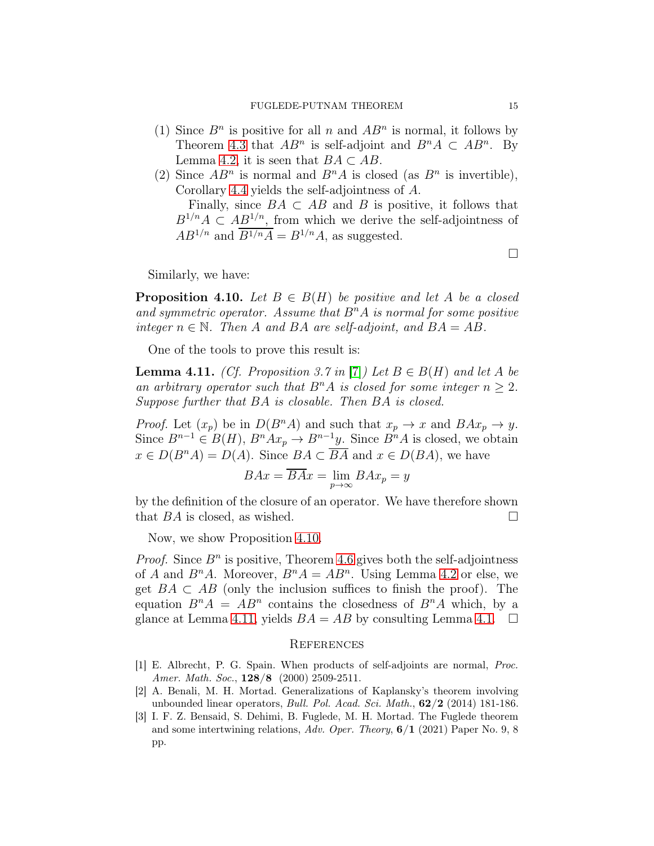- (1) Since  $B<sup>n</sup>$  is positive for all n and  $AB<sup>n</sup>$  is normal, it follows by Theorem [4.3](#page-9-0) that  $AB^n$  is self-adjoint and  $B^nA \subset AB^n$ . By Lemma [4.2,](#page-8-0) it is seen that  $BA \subset AB$ .
- (2) Since  $AB^n$  is normal and  $B^nA$  is closed (as  $B^n$  is invertible), Corollary [4.4](#page-10-0) yields the self-adjointness of A.

Finally, since  $BA \subset AB$  and B is positive, it follows that  $B^{1/n}A \subset AB^{1/n}$ , from which we derive the self-adjointness of  $AB^{1/n}$  and  $\overline{B^{1/n}A} = B^{1/n}A$ , as suggested.

Similarly, we have:

<span id="page-14-3"></span>**Proposition 4.10.** *Let*  $B \in B(H)$  *be positive and let* A *be a closed* and symmetric operator. Assume that  $B<sup>n</sup>A$  is normal for some positive *integer*  $n \in \mathbb{N}$ *. Then* A *and* BA *are self-adjoint, and*  $BA = AB$ *.* 

One of the tools to prove this result is:

<span id="page-14-4"></span>**Lemma 4.11.** *(Cf. Proposition 3.7 in* [\[7\]](#page-15-9)*)* Let  $B \in B(H)$  and let A be an arbitrary operator such that  $B<sup>n</sup>A$  is closed for some integer  $n \geq 2$ . *Suppose further that* BA *is closable. Then* BA *is closed.*

*Proof.* Let  $(x_p)$  be in  $D(B^nA)$  and such that  $x_p \to x$  and  $BAx_p \to y$ . Since  $B^{n-1} \in B(H)$ ,  $B^n A x_p \to B^{n-1} y$ . Since  $B^n A$  is closed, we obtain  $x \in D(B^nA) = D(A)$ . Since  $BA \subset \overline{BA}$  and  $x \in D(BA)$ , we have

$$
BAx = \overline{BA}x = \lim_{p \to \infty} BAx_p = y
$$

by the definition of the closure of an operator. We have therefore shown that  $BA$  is closed, as wished.  $\square$ 

Now, we show Proposition [4.10.](#page-14-3)

*Proof.* Since  $B<sup>n</sup>$  is positive, Theorem [4.6](#page-11-0) gives both the self-adjointness of A and  $B<sup>n</sup>A$ . Moreover,  $B<sup>n</sup>A = AB<sup>n</sup>$ . Using Lemma [4.2](#page-8-0) or else, we get  $BA \subset AB$  (only the inclusion suffices to finish the proof). The equation  $B^n A = AB^n$  contains the closedness of  $B^n A$  which, by a glance at Lemma [4.11,](#page-14-4) yields  $BA = AB$  by consulting Lemma [4.1.](#page-8-1)  $\Box$ 

#### **REFERENCES**

- <span id="page-14-1"></span>[1] E. Albrecht, P. G. Spain. When products of self-adjoints are normal, Proc. Amer. Math. Soc.,  $128/8$  (2000) 2509-2511.
- <span id="page-14-2"></span>[2] A. Benali, M. H. Mortad. Generalizations of Kaplansky's theorem involving unbounded linear operators, Bull. Pol. Acad. Sci. Math., 62/2 (2014) 181-186.
- <span id="page-14-0"></span>[3] I. F. Z. Bensaid, S. Dehimi, B. Fuglede, M. H. Mortad. The Fuglede theorem and some intertwining relations, Adv. Oper. Theory,  $6/1$  (2021) Paper No. 9, 8 pp.

 $\Box$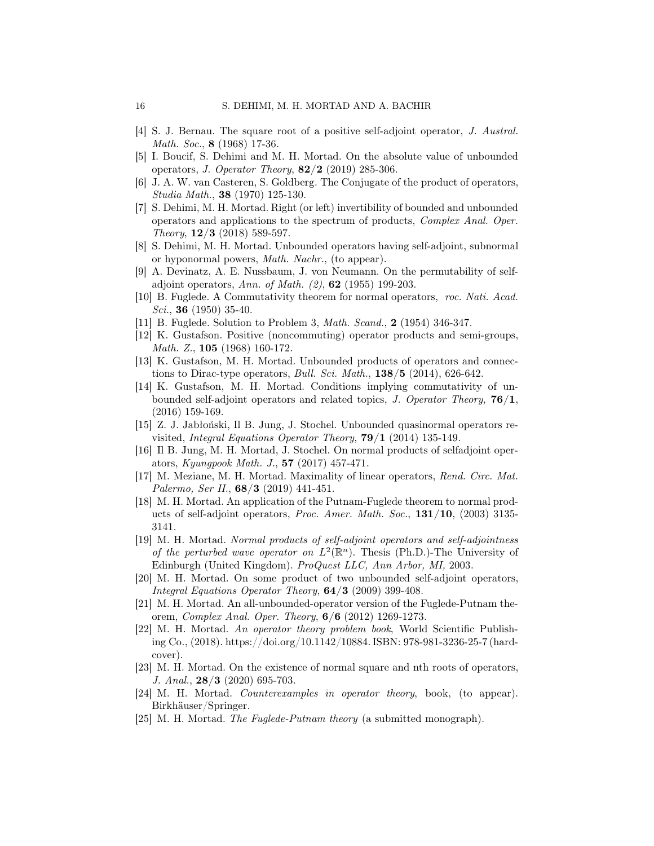- [4] S. J. Bernau. The square root of a positive self-adjoint operator, J. Austral. Math. Soc., **8** (1968) 17-36.
- <span id="page-15-7"></span>[5] I. Boucif, S. Dehimi and M. H. Mortad. On the absolute value of unbounded operators, *J. Operator Theory*,  $82/2$  (2019) 285-306.
- <span id="page-15-15"></span><span id="page-15-9"></span>[6] J. A. W. van Casteren, S. Goldberg. The Conjugate of the product of operators, Studia Math., 38 (1970) 125-130.
- [7] S. Dehimi, M. H. Mortad. Right (or left) invertibility of bounded and unbounded operators and applications to the spectrum of products, Complex Anal. Oper. Theory,  $12/3$  (2018) 589-597.
- <span id="page-15-8"></span>[8] S. Dehimi, M. H. Mortad. Unbounded operators having self-adjoint, subnormal or hyponormal powers, Math. Nachr., (to appear).
- <span id="page-15-16"></span>[9] A. Devinatz, A. E. Nussbaum, J. von Neumann. On the permutability of selfadjoint operators, Ann. of Math.  $(2)$ , 62 (1955) 199-203.
- <span id="page-15-2"></span>[10] B. Fuglede. A Commutativity theorem for normal operators, roc. Nati. Acad. Sci., **36** (1950) 35-40.
- <span id="page-15-13"></span>[11] B. Fuglede. Solution to Problem 3, Math. Scand., 2 (1954) 346-347.
- [12] K. Gustafson. Positive (noncommuting) operator products and semi-groups, Math. Z., 105 (1968) 160-172.
- <span id="page-15-10"></span>[13] K. Gustafson, M. H. Mortad. Unbounded products of operators and connections to Dirac-type operators, *Bull. Sci. Math.*,  $138/5$  (2014), 626-642.
- <span id="page-15-6"></span>[14] K. Gustafson, M. H. Mortad. Conditions implying commutativity of unbounded self-adjoint operators and related topics, J. Operator Theory,  $76/1$ , (2016) 159-169.
- [15] Z. J. Jabłoński, Il B. Jung, J. Stochel. Unbounded quasinormal operators revisited, Integral Equations Operator Theory,  $79/1$  (2014) 135-149.
- <span id="page-15-11"></span>[16] Il B. Jung, M. H. Mortad, J. Stochel. On normal products of selfadjoint operators, Kyungpook Math. J., 57 (2017) 457-471.
- <span id="page-15-14"></span>[17] M. Meziane, M. H. Mortad. Maximality of linear operators, Rend. Circ. Mat. Palermo, Ser II., **68/3** (2019) 441-451.
- <span id="page-15-3"></span>[18] M. H. Mortad. An application of the Putnam-Fuglede theorem to normal products of self-adjoint operators, Proc. Amer. Math. Soc., 131/10, (2003) 3135-3141.
- <span id="page-15-4"></span>[19] M. H. Mortad. Normal products of self-adjoint operators and self-adjointness of the perturbed wave operator on  $L^2(\mathbb{R}^n)$ . Thesis (Ph.D.)-The University of Edinburgh (United Kingdom). ProQuest LLC, Ann Arbor, MI, 2003.
- <span id="page-15-12"></span>[20] M. H. Mortad. On some product of two unbounded self-adjoint operators, Integral Equations Operator Theory,  $64/3$  (2009) 399-408.
- <span id="page-15-5"></span>[21] M. H. Mortad. An all-unbounded-operator version of the Fuglede-Putnam theorem, Complex Anal. Oper. Theory, 6/6 (2012) 1269-1273.
- <span id="page-15-0"></span>[22] M. H. Mortad. An operator theory problem book, World Scientific Publishing Co., (2018). https://doi.org/10.1142/10884. ISBN: 978-981-3236-25-7 (hardcover).
- <span id="page-15-17"></span>[23] M. H. Mortad. On the existence of normal square and nth roots of operators, J. Anal., 28/3 (2020) 695-703.
- <span id="page-15-1"></span>[24] M. H. Mortad. Counterexamples in operator theory, book, (to appear). Birkhäuser/Springer.
- [25] M. H. Mortad. The Fuglede-Putnam theory (a submitted monograph).